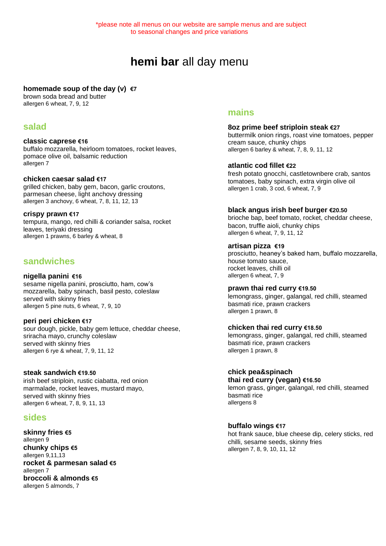# **hemi bar** all day menu

#### **homemade soup of the day (v) €7**

brown soda bread and butter allergen 6 wheat, 7, 9, 12

## **salad**

#### **classic caprese €16** buffalo mozzarella, heirloom tomatoes, rocket leaves, pomace olive oil, balsamic reduction allergen 7

#### **chicken caesar salad €17**

grilled chicken, baby gem, bacon, garlic croutons, parmesan cheese, light anchovy dressing allergen 3 anchovy, 6 wheat, 7, 8, 11, 12, 13

#### **crispy prawn €17**

tempura, mango, red chilli & coriander salsa, rocket leaves, teriyaki dressing allergen 1 prawns, 6 barley & wheat, 8

# **sandwiches**

### **nigella panini €16**

sesame nigella panini, prosciutto, ham, cow's mozzarella, baby spinach, basil pesto, coleslaw served with skinny fries allergen 5 pine nuts, 6 wheat, 7, 9, 10

### **peri peri chicken €17**

sour dough, pickle, baby gem lettuce, cheddar cheese, sriracha mayo, crunchy coleslaw served with skinny fries allergen 6 rye & wheat, 7, 9, 11, 12

### **steak sandwich €19.50**

irish beef striploin, rustic ciabatta, red onion marmalade, rocket leaves, mustard mayo, served with skinny fries allergen 6 wheat, 7, 8, 9, 11, 13

## **sides**

**skinny fries €5** allergen 9 **chunky chips €5** allergen 9,11,13 **rocket & parmesan salad €5** allergen 7 **broccoli & almonds €5** allergen 5 almonds, 7

# **mains**

**8oz prime beef striploin steak €27**  buttermilk onion rings, roast vine tomatoes, pepper cream sauce, chunky chips allergen 6 barley & wheat, 7, 8, 9, 11, 12

### **atlantic cod fillet €22**

fresh potato gnocchi, castletownbere crab, santos tomatoes, baby spinach, extra virgin olive oil allergen 1 crab, 3 cod, 6 wheat, 7, 9

### **black angus irish beef burger €20.50**

brioche bap, beef tomato, rocket, cheddar cheese, bacon, truffle aioli, chunky chips allergen 6 wheat, 7, 9, 11, 12

### **artisan pizza €19**

prosciutto, heaney's baked ham, buffalo mozzarella, house tomato sauce, rocket leaves, chilli oil allergen 6 wheat, 7, 9

#### **prawn thai red curry €19.50**

lemongrass, ginger, galangal, red chilli, steamed basmati rice, prawn crackers allergen 1 prawn, 8

### **chicken thai red curry €18.50**

lemongrass, ginger, galangal, red chilli, steamed basmati rice, prawn crackers allergen 1 prawn, 8

### **chick pea&spinach**

**thai red curry (vegan) €16.50** 

lemon grass, ginger, galangal, red chilli, steamed basmati rice allergens 8

### **buffalo wings €17**

hot frank sauce, blue cheese dip, celery sticks, red chilli, sesame seeds, skinny fries allergen 7, 8, 9, 10, 11, 12